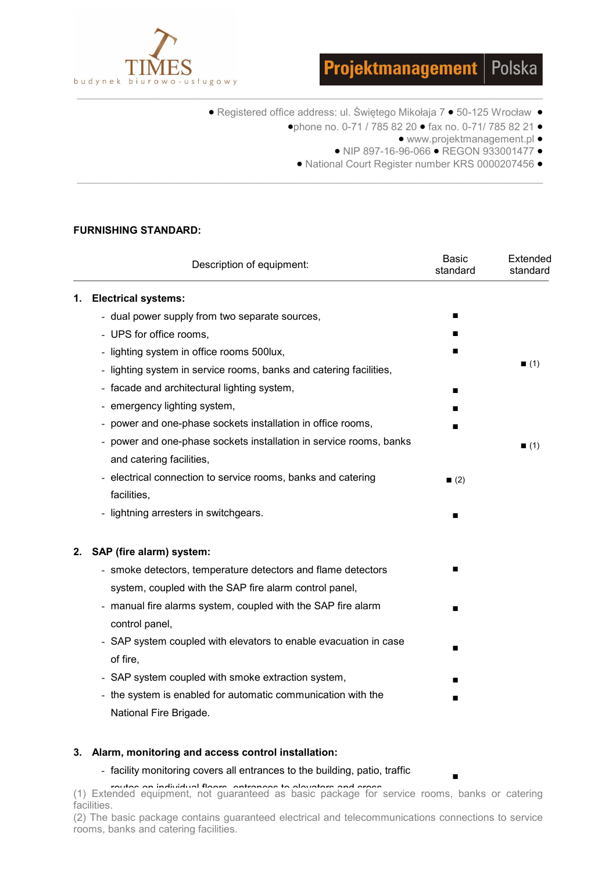



- Registered office address: ul. Świętego Mikołaja 7 50-125 Wrocław
	- •phone no. 0-71 / 785 82 20 fax no. 0-71/ 785 82 21
		- www.projektmanagement.pl •
		- NIP 897-16-96-066 REGON 933001477 •

■

• National Court Register number KRS 0000207456 •

# FURNISHING STANDARD:

|    | Description of equipment:                                          | <b>Basic</b><br>standard | Extended<br>standard |
|----|--------------------------------------------------------------------|--------------------------|----------------------|
| 1. | <b>Electrical systems:</b>                                         |                          |                      |
|    | - dual power supply from two separate sources,                     | ■                        |                      |
|    | - UPS for office rooms,                                            |                          |                      |
|    | - lighting system in office rooms 500lux,                          |                          |                      |
|    | - lighting system in service rooms, banks and catering facilities, |                          | (1)                  |
|    | - facade and architectural lighting system,                        |                          |                      |
|    | - emergency lighting system,                                       |                          |                      |
|    | - power and one-phase sockets installation in office rooms,        |                          |                      |
|    | - power and one-phase sockets installation in service rooms, banks |                          | (1)                  |
|    | and catering facilities,                                           |                          |                      |
|    | - electrical connection to service rooms, banks and catering       | (2)                      |                      |
|    | facilities,                                                        |                          |                      |
|    | - lightning arresters in switchgears.                              |                          |                      |
| 2. | SAP (fire alarm) system:                                           |                          |                      |
|    | - smoke detectors, temperature detectors and flame detectors       |                          |                      |
|    | system, coupled with the SAP fire alarm control panel,             |                          |                      |
|    | - manual fire alarms system, coupled with the SAP fire alarm       |                          |                      |
|    | control panel,                                                     |                          |                      |
|    | - SAP system coupled with elevators to enable evacuation in case   |                          |                      |
|    | of fire,                                                           |                          |                      |
|    | - SAP system coupled with smoke extraction system,                 |                          |                      |
|    | - the system is enabled for automatic communication with the       |                          |                      |
|    | National Fire Brigade.                                             |                          |                      |

\_\_\_\_\_\_\_\_\_\_\_\_\_\_\_\_\_\_\_\_\_\_\_\_\_\_\_\_\_\_\_\_\_\_\_\_\_\_\_\_\_\_\_\_\_\_\_\_\_\_\_\_\_\_\_\_\_\_\_\_\_\_\_\_\_\_\_\_\_\_\_\_\_\_\_

# 3. Alarm, monitoring and access control installation:

# - facility monitoring covers all entrances to the building, patio, traffic

routes on individual floors, entrances to elevators and cross.<br>(1) Extended equipment, not guaranteed as basic package for service rooms, banks or catering facilities.

(2) The basic package contains guaranteed electrical and telecommunications connections to service rooms, banks and catering facilities.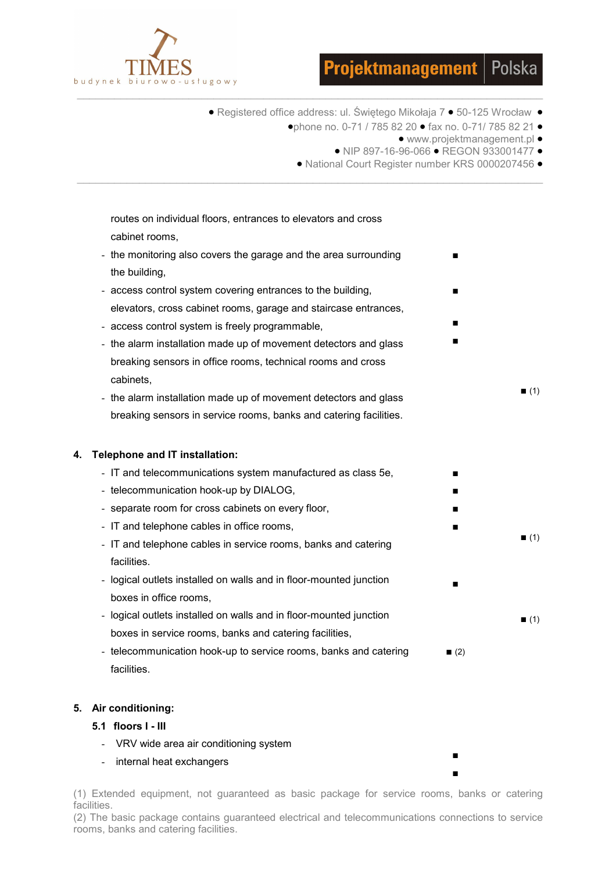



• Registered office address: ul. Świętego Mikołaja 7 • 50-125 Wrocław •

 $\_$  , and the set of the set of the set of the set of the set of the set of the set of the set of the set of the set of the set of the set of the set of the set of the set of the set of the set of the set of the set of th

\_\_\_\_\_\_\_\_\_\_\_\_\_\_\_\_\_\_\_\_\_\_\_\_\_\_\_\_\_\_\_\_\_\_\_\_\_\_\_\_\_\_\_\_\_\_\_\_\_\_\_\_\_\_\_\_\_\_\_\_\_\_\_\_\_\_\_\_\_\_\_\_\_\_\_

- •phone no. 0-71 / 785 82 20 fax no. 0-71/ 785 82 21
	- www.projektmanagement.pl •

■

■

■ ■

 $(1)$ 

 $(1)$ 

 $(1)$ 

■ ■ ■ ■

■

■ ■

- NIP 897-16-96-066 REGON 933001477 •
- National Court Register number KRS 0000207456 •

routes on individual floors, entrances to elevators and cross cabinet rooms,

- the monitoring also covers the garage and the area surrounding the building,
- access control system covering entrances to the building, elevators, cross cabinet rooms, garage and staircase entrances,
- access control system is freely programmable,
- the alarm installation made up of movement detectors and glass breaking sensors in office rooms, technical rooms and cross cabinets,
- the alarm installation made up of movement detectors and glass breaking sensors in service rooms, banks and catering facilities.

# 4. Telephone and IT installation:

- IT and telecommunications system manufactured as class 5e,
- telecommunication hook-up by DIALOG,
- separate room for cross cabinets on every floor,
- IT and telephone cables in office rooms,
- IT and telephone cables in service rooms, banks and catering facilities.
- logical outlets installed on walls and in floor-mounted junction boxes in office rooms,
- logical outlets installed on walls and in floor-mounted junction boxes in service rooms, banks and catering facilities,
- telecommunication hook-up to service rooms, banks and catering facilities.  $(2)$

# 5. Air conditioning:

- 5.1 floors I III
	- VRV wide area air conditioning system
	- internal heat exchangers

(1) Extended equipment, not guaranteed as basic package for service rooms, banks or catering facilities.

(2) The basic package contains guaranteed electrical and telecommunications connections to service rooms, banks and catering facilities.